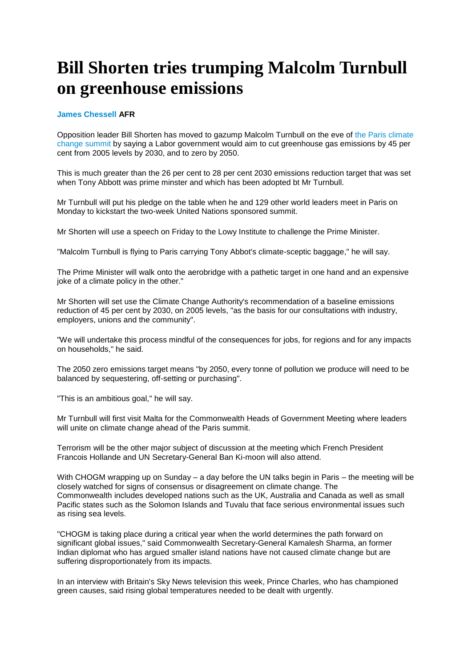## **Bill Shorten tries trumping Malcolm Turnbull on greenhouse emissions**

## **[James Chessell A](http://www.afr.com/news/world/james-chessell-j67sp.html)FR**

Opposition leader Bill Shorten has moved to gazump Malcolm Turnbull on the eve of [the Paris climate](http://www.afr.com/news/australia-to-push-for-accountability-in-paris-climate-talks-20151125-gl7yfa)  [change summit](http://www.afr.com/news/australia-to-push-for-accountability-in-paris-climate-talks-20151125-gl7yfa) by saying a Labor government would aim to cut greenhouse gas emissions by 45 per cent from 2005 levels by 2030, and to zero by 2050.

This is much greater than the 26 per cent to 28 per cent 2030 emissions reduction target that was set when Tony Abbott was prime minster and which has been adopted bt Mr Turnbull.

Mr Turnbull will put his pledge on the table when he and 129 other world leaders meet in Paris on Monday to kickstart the two-week United Nations sponsored summit.

Mr Shorten will use a speech on Friday to the Lowy Institute to challenge the Prime Minister.

"Malcolm Turnbull is flying to Paris carrying Tony Abbot's climate-sceptic baggage," he will say.

The Prime Minister will walk onto the aerobridge with a pathetic target in one hand and an expensive joke of a climate policy in the other."

Mr Shorten will set use the Climate Change Authority's recommendation of a baseline emissions reduction of 45 per cent by 2030, on 2005 levels, "as the basis for our consultations with industry, employers, unions and the community".

"We will undertake this process mindful of the consequences for jobs, for regions and for any impacts on households," he said.

The 2050 zero emissions target means "by 2050, every tonne of pollution we produce will need to be balanced by sequestering, off-setting or purchasing".

"This is an ambitious goal," he will say.

Mr Turnbull will first visit Malta for the Commonwealth Heads of Government Meeting where leaders will unite on climate change ahead of the Paris summit.

Terrorism will be the other major subject of discussion at the meeting which French President Francois Hollande and UN Secretary-General Ban Ki-moon will also attend.

With CHOGM wrapping up on Sunday – a day before the UN talks begin in Paris – the meeting will be closely watched for signs of consensus or disagreement on climate change. The Commonwealth includes developed nations such as the UK, Australia and Canada as well as small Pacific states such as the Solomon Islands and Tuvalu that face serious environmental issues such as rising sea levels.

"CHOGM is taking place during a critical year when the world determines the path forward on significant global issues," said Commonwealth Secretary-General Kamalesh Sharma, an former Indian diplomat who has argued smaller island nations have not caused climate change but are suffering disproportionately from its impacts.

In an interview with Britain's Sky News television this week, Prince Charles, who has championed green causes, said rising global temperatures needed to be dealt with urgently.